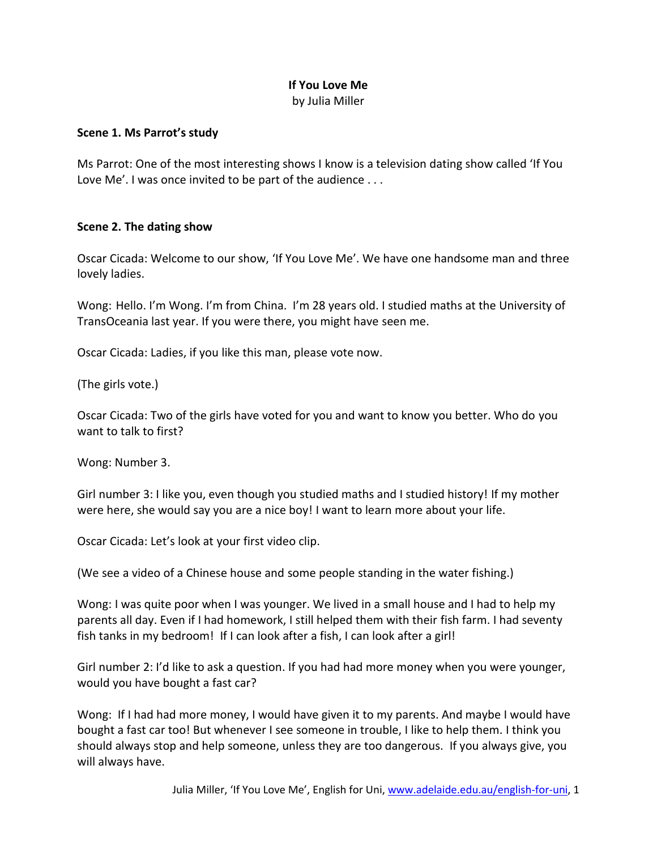## **If You Love Me**

by Julia Miller

## **Scene 1. Ms Parrot's study**

Ms Parrot: One of the most interesting shows I know is a television dating show called 'If You Love Me'. I was once invited to be part of the audience . . .

## **Scene 2. The dating show**

Oscar Cicada: Welcome to our show, 'If You Love Me'. We have one handsome man and three lovely ladies.

Wong: Hello. I'm Wong. I'm from China. I'm 28 years old. I studied maths at the University of TransOceania last year. If you were there, you might have seen me.

Oscar Cicada: Ladies, if you like this man, please vote now.

(The girls vote.)

Oscar Cicada: Two of the girls have voted for you and want to know you better. Who do you want to talk to first?

Wong: Number 3.

Girl number 3: I like you, even though you studied maths and I studied history! If my mother were here, she would say you are a nice boy! I want to learn more about your life.

Oscar Cicada: Let's look at your first video clip.

(We see a video of a Chinese house and some people standing in the water fishing.)

Wong: I was quite poor when I was younger. We lived in a small house and I had to help my parents all day. Even if I had homework, I still helped them with their fish farm. I had seventy fish tanks in my bedroom! If I can look after a fish, I can look after a girl!

Girl number 2: I'd like to ask a question. If you had had more money when you were younger, would you have bought a fast car?

Wong: If I had had more money, I would have given it to my parents. And maybe I would have bought a fast car too! But whenever I see someone in trouble, I like to help them. I think you should always stop and help someone, unless they are too dangerous. If you always give, you will always have.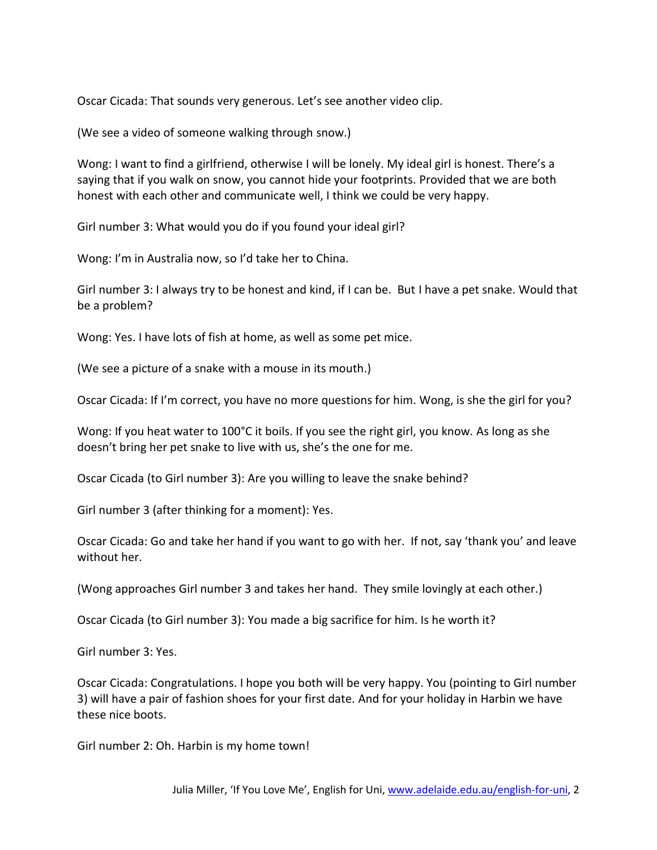Oscar Cicada: That sounds very generous. Let's see another video clip.

(We see a video of someone walking through snow.)

Wong: I want to find a girlfriend, otherwise I will be lonely. My ideal girl is honest. There's a saying that if you walk on snow, you cannot hide your footprints. Provided that we are both honest with each other and communicate well, I think we could be very happy.

Girl number 3: What would you do if you found your ideal girl?

Wong: I'm in Australia now, so I'd take her to China.

Girl number 3: I always try to be honest and kind, if I can be. But I have a pet snake. Would that be a problem?

Wong: Yes. I have lots of fish at home, as well as some pet mice.

(We see a picture of a snake with a mouse in its mouth.)

Oscar Cicada: If I'm correct, you have no more questions for him. Wong, is she the girl for you?

Wong: If you heat water to 100°C it boils. If you see the right girl, you know. As long as she doesn't bring her pet snake to live with us, she's the one for me.

Oscar Cicada (to Girl number 3): Are you willing to leave the snake behind?

Girl number 3 (after thinking for a moment): Yes.

Oscar Cicada: Go and take her hand if you want to go with her. If not, say 'thank you' and leave without her.

(Wong approaches Girl number 3 and takes her hand. They smile lovingly at each other.)

Oscar Cicada (to Girl number 3): You made a big sacrifice for him. Is he worth it?

Girl number 3: Yes.

Oscar Cicada: Congratulations. I hope you both will be very happy. You (pointing to Girl number 3) will have a pair of fashion shoes for your first date. And for your holiday in Harbin we have these nice boots.

Girl number 2: Oh. Harbin is my home town!